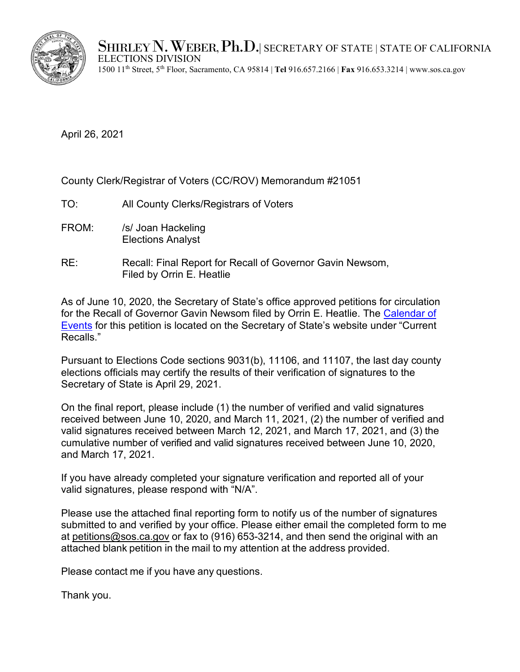

SHIRLEY N. WEBER, Ph.D. SECRETARY OF STATE | STATE OF CALIFORNIA ELECTIONS DIVISION

1500 11th Street, 5th Floor, Sacramento, CA 95814 | **Tel** 916.657.2166 | **Fax** 916.653.3214 | www.sos.ca.gov

April 26, 2021

County Clerk/Registrar of Voters (CC/ROV) Memorandum #21051

- TO: All County Clerks/Registrars of Voters
- FROM: /s/ Joan Hackeling Elections Analyst
- RE: Recall: Final Report for Recall of Governor Gavin Newsom, Filed by Orrin E. Heatlie

As of June 10, 2020, the Secretary of State's office approved petitions for circulation for the Recall of Governor Gavin Newsom filed by Orrin E. Heatlie. [The Calendar of](https://elections.cdn.sos.ca.gov/recalls/newsom-calendar.pdf)  [Events](https://elections.cdn.sos.ca.gov/recalls/newsom-calendar.pdf) for this petition is located on the Secretary of State's website under "Current Recalls."

Pursuant to Elections Code sections 9031(b), 11106, and 11107, the last day county elections officials may certify the results of their verification of signatures to the Secretary of State is April 29, 2021.

On the final report, please include (1) the number of verified and valid signatures received between June 10, 2020, and March 11, 2021, (2) the number of verified and valid signatures received between March 12, 2021, and March 17, 2021, and (3) the cumulative number of verified and valid signatures received between June 10, 2020, and March 17, 2021.

If you have already completed your signature verification and reported all of your valid signatures, please respond with "N/A".

Please use the attached final reporting form to notify us of the number of signatures submitted to and verified by your office. Please either email the completed form to me at [petitions@sos.ca.gov](mailto:petitions@sos.ca.gov) or fax to (916) 653-3214, and then send the original with an attached blank petition in the mail to my attention at the address provided.

Please contact me if you have any questions.

Thank you.